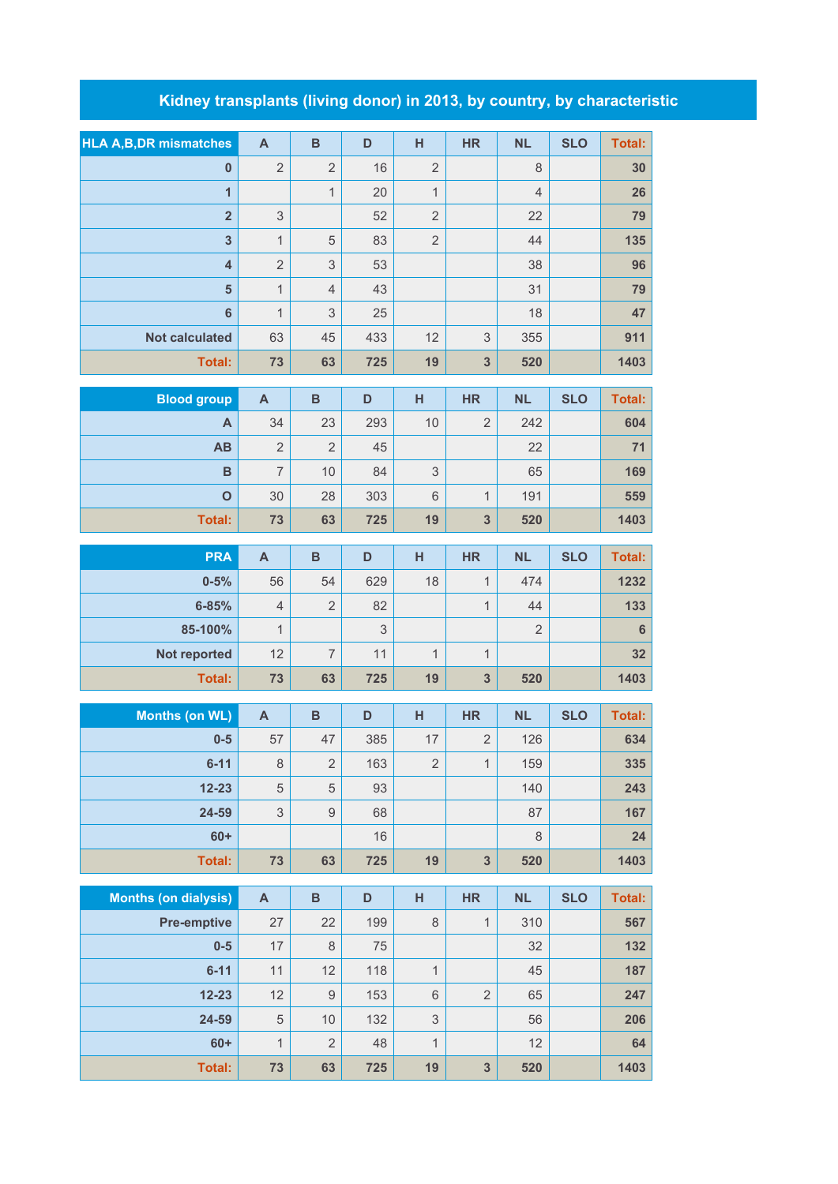## **Kidney transplants (living donor) in 2013, by country, by characteristic**

| <b>HLA A, B, DR mismatches</b> | $\boldsymbol{\mathsf{A}}$      | $\mathbf B$               | D       | H              | <b>HR</b>                   | <b>NL</b>      | <b>SLO</b> | <b>Total:</b>  |
|--------------------------------|--------------------------------|---------------------------|---------|----------------|-----------------------------|----------------|------------|----------------|
| $\bf{0}$                       | $\overline{2}$                 | $\overline{2}$            | 16      | $\overline{2}$ |                             | 8              |            | 30             |
| $\overline{1}$                 |                                | $\mathbf{1}$              | 20      | $\mathbf{1}$   |                             | $\overline{4}$ |            | 26             |
| $\overline{\mathbf{2}}$        | 3                              |                           | 52      | $\overline{c}$ |                             | 22             |            | 79             |
| $\overline{\mathbf{3}}$        | 1                              | 5                         | 83      | $\overline{2}$ |                             | 44             |            | 135            |
| $\overline{4}$                 | $\overline{2}$                 | $\ensuremath{\mathsf{3}}$ | 53      |                |                             | 38             |            | 96             |
| 5                              | 1                              | $\overline{4}$            | 43      |                |                             | 31             |            | 79             |
| $6\phantom{1}6$                | $\mathbf{1}$                   | $\sqrt{3}$                | 25      |                |                             | 18             |            | 47             |
| <b>Not calculated</b>          | 63                             | 45                        | 433     | 12             | 3                           | 355            |            | 911            |
| <b>Total:</b>                  | 73                             | 63                        | 725     | 19             | $\overline{\mathbf{3}}$     | 520            |            | 1403           |
| <b>Blood group</b>             | $\mathsf{A}$                   | $\overline{B}$            | D       | H              | <b>HR</b>                   | <b>NL</b>      | <b>SLO</b> | <b>Total:</b>  |
| A                              | 34                             | 23                        | 293     | 10             | $\overline{2}$              | 242            |            | 604            |
| AB                             | $\overline{2}$                 | $\overline{2}$            | 45      |                |                             | 22             |            | 71             |
| B                              | $\overline{7}$                 | 10                        | 84      | 3              |                             | 65             |            | 169            |
| $\mathbf{o}$                   | 30                             | 28                        | 303     | 6              | $\mathbf{1}$                | 191            |            | 559            |
| <b>Total:</b>                  | 73                             | 63                        | 725     | 19             | $\overline{\mathbf{3}}$     | 520            |            | 1403           |
|                                |                                |                           |         |                |                             |                |            |                |
| <b>PRA</b>                     | $\boldsymbol{\mathsf{A}}$      | $\overline{B}$            | D       | H              | <b>HR</b>                   | <b>NL</b>      | <b>SLO</b> | <b>Total:</b>  |
| $0 - 5%$                       | 56                             | 54                        | 629     | 18             | $\mathbf 1$<br>$\mathbf{1}$ | 474<br>44      |            | 1232           |
| 6-85%<br>85-100%               | $\overline{4}$<br>$\mathbf{1}$ | $\overline{2}$            | 82<br>3 |                |                             | $\overline{2}$ |            | 133<br>$\bf 6$ |
| Not reported                   | 12                             | $\overline{7}$            | 11      | $\mathbf{1}$   | $\mathbf{1}$                |                |            | 32             |
| <b>Total:</b>                  | 73                             | 63                        | 725     | 19             | $\overline{\mathbf{3}}$     | 520            |            | 1403           |
|                                |                                |                           |         |                |                             |                |            |                |
| <b>Months (on WL)</b>          | $\mathsf{A}$                   | B                         | D       | H              | <b>HR</b>                   | <b>NL</b>      | <b>SLO</b> | <b>Total:</b>  |
| $0-5$                          | 57                             | 47                        | 385     | 17             | $\overline{2}$              | 126            |            | 634            |
| $6 - 11$                       | 8                              | $\overline{2}$            | 163     | $\overline{2}$ | $\mathbf{1}$                | 159            |            | 335            |
| $12 - 23$                      | $\sqrt{5}$                     | $\sqrt{5}$                | 93      |                |                             | 140            |            | 243            |
| 24-59                          | $\ensuremath{\mathsf{3}}$      | $\hbox{9}$                | 68      |                |                             | 87             |            | 167            |
| $60+$                          |                                |                           | 16      |                |                             | $\,8\,$        |            | 24             |
| <b>Total:</b>                  | 73                             | 63                        | 725     | 19             | $\overline{\mathbf{3}}$     | 520            |            | 1403           |
| <b>Months (on dialysis)</b>    | $\boldsymbol{\mathsf{A}}$      | $\, {\bf B}$              | D       | H              | <b>HR</b>                   | <b>NL</b>      | <b>SLO</b> | <b>Total:</b>  |
| <b>Pre-emptive</b>             | 27                             | 22                        | 199     | $\,8\,$        | $\mathbf{1}$                | 310            |            | 567            |
| $0-5$                          | 17                             | $\,8\,$                   | 75      |                |                             | 32             |            | 132            |
| $6 - 11$                       | 11                             | 12                        | 118     | $\mathbf{1}$   |                             | 45             |            | 187            |
| $12 - 23$                      | 12                             | $\boldsymbol{9}$          | 153     | 6              | $\overline{2}$              | 65             |            | 247            |
| 24-59                          | $\overline{5}$                 | 10                        | 132     | $\mathsf 3$    |                             | 56             |            | 206            |
| $60+$                          | $\mathbf{1}$                   | $\sqrt{2}$                | 48      | $\mathbf{1}$   |                             | 12             |            | 64             |

**Total: 73 63 725 19 3 520 1403**